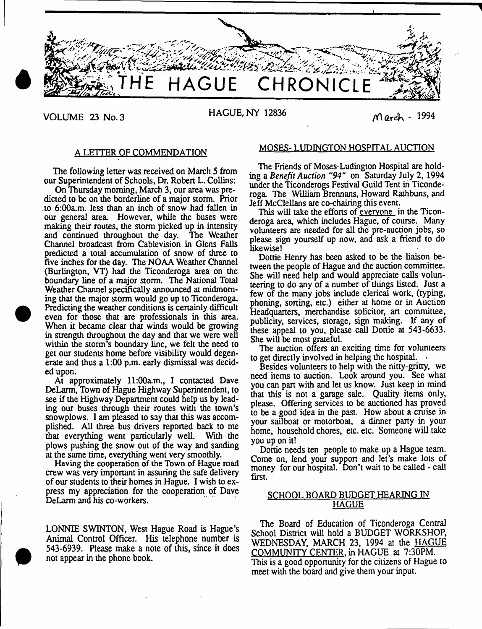

# VOLUME 23 No. 3 HAGUE, NY 12836  $M$  arch - 1994

# A LETTER OF COMMENDATION

The following letter was received on March 5 from our Superintendent of Schools, Dr. Robert L. Collins:

On Thursday morning, March 3, our area was predicted to be on the borderline of a major storm. Prior to 6:00a.m. less than an inch of snow had fallen in our general area. However, while the buses were making their routes, the storm picked up in intensity and continued throughout the day. The Weather Channel broadcast from Cablevision in Glens Falls predicted a total accumulation of snow of three to five inches for the day. The NOAA Weather Channel (Burlington, VT) had the Ticonderoga area on the boundary line of a major storm. The National Total Weather Channel specifically announced at midmoming that the major storm would go up to Ticonderoga. Predicting the weather conditions is certainly difficult even for those that are professionals in this area. When it became clear that winds would be growing in strength throughout the day and that we were well within die storm's boundary line, we felt the need to get our students home before visibility would degenerate and thus a 1:00 p.m. early dismissal was decided upon.

At approximately 11:00a.m., I contacted Dave DeLarm, Town of Hague Highway Superintendent, to see if the Highway Department could help us by leading our buses through their routes with the town's snowplows. I am pleased to say that this was accomplished. All three bus drivers reported back to me that everything went particularly well. With the plows pushing the snow out of the way and sanding at the same time, everything went very smoothly.

Having the cooperation of the Town of Hague road crew was very important in assuring the safe delivery of our students to their homes in Hague. I wish to express my appreciation for the cooperation of Dave DeLarm and his co-workers.

LONNIE SWINTON, West Hague Road is Hague's Animal Control Officer. His telephone number is 543-6939. Please make a note of this, since it does not appear in the phone book.

# MOSES- LUDINGTON HOSPITAL AUCTION

The Friends of Moses-Ludington Hospital are holding a *Benefit Auction "94"* on Saturday July 2, 1994 under the Ticonderogs Festival Guild Tent in Ticonderoga. The William Brennans, Howard Rathbuns, and Jeff McClellans are co-chairing this event.

This will take the efforts of <u>everyone</u> in the Ticonderoga area, which includes Hague, of course. Many volunteers are needed for all the pre-auction jobs, so please sign yourself up now, and ask a friend to do likewise!

Dottie Henry has been asked to be the liaison between the people of Hague and the auction committee. She will need help and would appreciate calls volunteering to do any of a number of things listed. Just a few of the many jobs include clerical work, (typing, phoning, sorting, etc.) either at home or in Auction Headquarters, merchandise solicitor, art committee, publicity, services, storage, sign making. If any of these appeal to you, please call Dottie at 543-6633. She will be most grateful.

The auction offers an exciting time for volunteers to get directly involved in helping the hospital.  $\theta$ 

Besides volunteers to help with the nitty-gritty, we need items to auction. Look around you. See what you can part with and let us know. Just keep in mind that this is not a garage sale. Quality items only, please. Offering services to be auctioned has proved to be a good idea in the past. How about a cruise in your satiboat or motorboat, a dinner party in your home, household chores, etc. etc. Someone will take you up on it!

Dottie needs ten people to make up a Hague team. Come on, lend your support and let's make lots of money for our hospital. Don't wait to be called - call first.

# . SCHOOL BOARD BUDGET HEARING IN HAGUE

The Board of Education of Ticonderoga Central School District will hold a BUDGET WORKSHOP, WEDNESDAY, MARCH 23, 1994 at the HAGUE COMMUNITY CENTER, in HAGUE at 7:30PM. This is a good opportunity for the citizens of Hague to meet with the board and give them your input.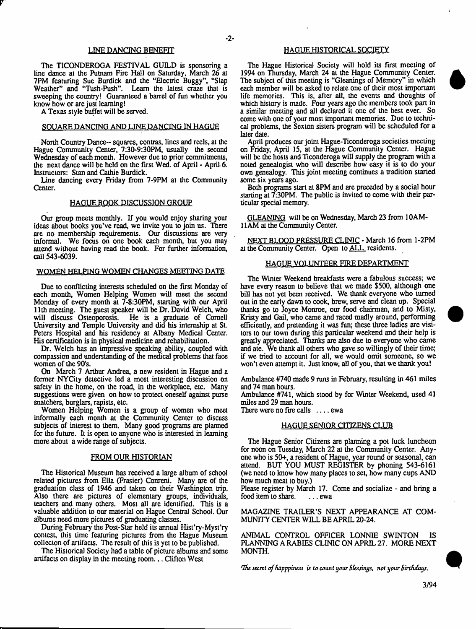### LINE DANCING BENEFIT

The TICONDEROGA FESTIVAL GUILD is sponsoring a line dance al the Putnam Fire Hall on Saturday, March 26 at 7PM featuring Sue Burdick and the "Electric Buggy", "Slap Weather" and "Tush-Push". Learn the latest craze that is sweeping the country! Guaranteed a barrel of fun whether you know how or are just learning!

A Texas style buffet will be served.

#### SQUARE DANCING AND LINE DANCING IN HAGUE

North Country Dance- squares, contras, lines and reels, at the Hague Community Center, 7:30-9:30PM, usually the second Wednesday of each month. However due to prior commitments, the next dance will be held on the first Wed. of April - April 6. Instructors: Stan and Cathie Burdick.

Line dancing every Friday from 7-9PM at the Community Center.

#### HAGUE BOOK DISCUSSION GROUP

Our group meets monthly. If you would enjoy sharing your ideas about books you've read, we invite you to join us. There are no membership requirements. Our discussions are very informal. We focus on one book each month, but you may attend without having read the book. For further information, call 543-6039.

#### WOMEN HELPING WOMEN CHANGES MEETING DATE

Due to conflicting interests scheduled on the first Monday of each month, Women Helping Women will meet the second Monday of every month at 7-8:30PM, starting with our April 11th meeting. The guest speaker will be Dr. David Welch, who will discuss Osteoporosis. He is a graduate of Cornell University and Temple University and did his internship at St. Peters Hospital and his residency at Albany Medical Center. His certification is in physical medicine and rehabilitation.

Dr. Welch has an impressive speaking ability, coupled with compassion and understanding of the medical problems that face women of the 90's.

On March 7 Arthur Andrea, a new resident in Hague and a former NYCity detective led a most interesting discussion on safety in the home, on the road, in the workplace, etc. Many suggestions were given on how to protect oneself against purse snatchers, burglars, rapists, etc.

Women Helping Women is a group of women who meet informally each month at the Community Center to discuss subjects of interest to them. Many good programs are planned for the future. It is open to anyone who is interested in learning more about a wide range of subjects.

#### FROM OUR HISTORIAN

The Historical Museum has received a large album of school related pictures from Ella (Frasier) Conreni. Many are of the graduation class of 1946 and taken on their Washington trip. Also there are pictures of elementary groups, individuals, teachers and many others. Most all are identified. This is a valuable addition to our material on Hague Central School. Our albums need more pictures of graduating classes.

During February the Post-Star held its annual Hist'ry-Myst'ry contest, this time featuring pictures from the Hague Museum collecton of artifacts. The result of this is yet to be published.

The Historical Society had a table of picture albums and some artifacts on display in the meeting room .., Clifton West

# HAGUE HISTORICAL SOCIETY

The Hague Historical Society will hold its first meeting of 1994 on Thursday, March 24 al the Hague Community Center. The subject of this meeting is "Gleanings of Memory" in which each member will be asked to relate one of their most important life memories. This is, after all, the events and thoughts of which history is made. Four years ago the members took part in a similar meeting and all declared it one of the best ever. So come with one of your most important memories. Due to technical problems, the Sexton sisters program will be scheduled for a later date.

April produces our joint Hague-Ticonderoga societies meeting on Friday, April 15, at the Hague Community Center. Hague will be the hosts and Ticonderoga will supply the program with a noted genealogist who will describe how easy it is to do your own genealogy. This joint meeting continues a tradition started some six years ago.

Both programs start at 8PM and are preceded by a social hour starting at 7:30PM. The public is invited to come with their particular special memory.

GLEANING will be on Wednesday, March 23 from 10AM-11 AM al the Community Center.

NEXT BLOOD PRESSURE CLINIC - March 16 from 1-2PM at the Community Center. Open to ALL residents.

#### HAGUE VOLUNTEER FIRE DEPARTMENT

The Winter Weekend breakfasts were a fabulous success; we have every reason to believe that we made \$500, although one bill has not yet been received. We thank everyone who turned out in the early dawn to cook, brew, serve and clean up. Special thanks go to Joyce Monroe, our food chairman, and to Misty, Kristy and Gail, who came and raced madly around, performing efficiently, and pretending it was fun; these three ladies are visitors to our town during this particular weekend and their help is greatly appreciated. Thanks are also due to everyone who came and ate. We thank all others who gave so willingly of their time; if we tried to account for all, we would omit someone, so we won't even attempt it. Just know, all of you, that we thank you!

Ambulance #740 made 9 runs in February, resulting in 461 miles and 74 man hours.

Ambulance #741, which stood by for Winter Weekend, used 41 miles and 29 man hours.

There were no fire calls  $\dots$  ewa

#### HAGUE SENIOR CITIZENS CLUB

The Hague Senior Citizens are planning a pot luck luncheon for noon on Tuesday, March 22 at the Community Center. Anyone who is 50+, a resident of Hague, year round or seasonal, can attend. BUT YOU MUST REGISTER by phoning 543-6161 (we need to know how many places to set, how many cups AND how much meat to buy.)

Please register by March 17. Come and socialize - and bring a food item to share. . . . ewa

MAGAZINE TRAILER'S NEXT APPEARANCE AT COM-MUNITY CENTER WILL BE APRIL 20-24.

ANIMAL CONTROL OFFICER LONNIE SWINTON IS PLANNING A RABIES CLINIC ON APRIL 27. MORE NEXT MONTH.

Tfic *secret of Bapppiness is to count your Blessings, not your Birthdays.*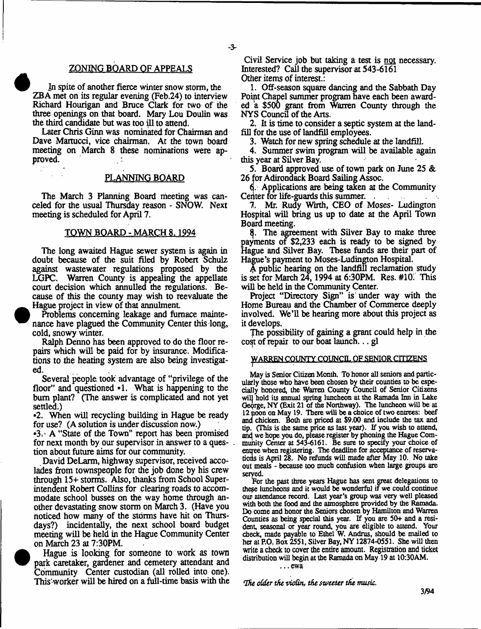# ZONING BOARD OF APPEALS

In spite of another fierce winter snow storm, the ZBA met on its regular evening (Feb.24) to interview Richard Hourigan and Bruce Clark for two of the three openings on that board. Mary Lou Doulin was the third candidate but was too ill to attend.

Later Chris Ginn was nominated for Chairman and Dave Martucci, vice chairman. At the town board meeting on March 8 these nominations were approved.

# PLANNING BOARD

The March 3 Planning Board meeting was canceled for the usual Thursday reason - SNOW. Next meeting is scheduled for April 7.

# TOWN BOARD - MARCH 8.1994

The long awaited Hague sewer system is again in doubt because of the suit filed by Robert Schulz against wastewater regulations proposed by the LGPC. Warren County is appealing the appellate court decision which annulled the regulations. Because of this the county may wish to reevaluate the Hague project in view of that annulment

Problems concerning leakage and furnace maintenance have plagued the Community Center this long, cold, snowy winter.

Ralph Denno has been approved to do the floor repairs which will be paid for by insurance. Modifications to the heating system are also being investigated.

Several people, took advantage of "privilege of the floor" and questioned  $\cdot$ 1. What is happening to the bum plant? (The answer is complicated and not yet settled.)

•2. When will recycling building in Hague be ready for use? (A solution is under discussion now.)

•3.' A "State of the Town" report has been promised for next month by our supervisor in answer to a question about future aims for our community.

David DeLarm, highway supervisor, received accolades from townspeople for the job done by his crew through 15+ storms. Also, thanks from School Superintendent Robert Collins for clearing roads to accommodate school busses on the way home through another devastating snow storm on March 3. (Have you noticed how many of the storms have hit on Thursdays?) incidentally, the next school board budget meeting will be held in the Hague Community Center on March 23 at 7:30PM.

Hague is looking for someone to work as town park caretaker, gardener and cemetery attendant and Community Center custodian (all rolled into one). This'worker will be hired on a full-time basis with the

Civil Service job but taking a test is not necessary. Interested? Call the supervisor at 543-6161 Other items of interest.:

1. Off-season square dancing and the Sabbath Day Point Chapel summer program have each been awarded a \$500 grant from Warren County through the NYS Council of the Arts.

2. It is time to consider a septic system at the landfill for the use of landfill employees.

3. Watch for new spring schedule at the landfill.

4. Summer swim program will be available again this year at Silver Bay.

5. Board approved use of town park on June 25 & 26 for Adirondack Board Sailing Assoc.

6. Applications are being taken at the Community Center for life-guards this summer. .

7. Mr. Rudy Wiith, CEO of Moses- Ludington Hospital will bring us up to date at the April Town Board meeting.

f}. The agreement with Silver Bay to make three payments of \$2,233 each is ready to be signed by Hague and Silver Bay. These funds are their part of Hague's payment to Moses-Ludington Hospital.

\$ public hearing on the landfill reclamation study is set for March 24, 1994 at  $6:30PM$ . Res. #10. This will be held in the Community Center.

Project "Directory Sign" is under way with the Home Bureau and the Chamber of Commerce deeply involved. We'll be hearing more about this project as it develops.

The possibility of gaining a grant could help in the cost of repair to our boat launch... gl

# WARREN COUNTY COUNCIL OF SENIOR CITIZENS

May is Senior Citizen Month. To honor all seniors and particularly those who have been chosen by their counties to be especially honored, the Warren County Council of Senior Citizens will hold its annual spring luncheon at the Ramada Inn in Lake George, NY (Exit 21 of the Northway). The luncheon will be al 12 noon on May 19. There will be a choice of two entrees: beef ana chicken. Both are priced at \$9.00 and include the tax and tip, (This is the same price as last year). If you wish to attend, an4 we hope you do, please register by phoning the Hague Community Center at 543-6161. Be sure to specify your choice of entree when registering. The deadline for acceptance of reservations is April 28. No refunds will made after May 10. No take out meals - because too much confusion when large groups are served.

For the past three years Hague has sent great delegations to these luncheons and it would be wonderful if we could continue our attendance record. Last year's group was very well pleased with both the food and the atmosphere provided by the Ramada. Do come and honor the Seniors chosen by Hamilton and Warren Counties as being special this year. If you are 50+ and a resident, seasonal or year round, you are eligible to attend. Your check, made payable to Ethel W. Andrus, should be mailed to her at RO. Box 2551, Silver Bay, NY 12874-0551. She will then write a check to cover the entire amount. Registration and ticket distribution will begin at the Ramada on May 19 at 10:30AM.

.. .ewa

*The oidtr the violin, the sweeter the music.*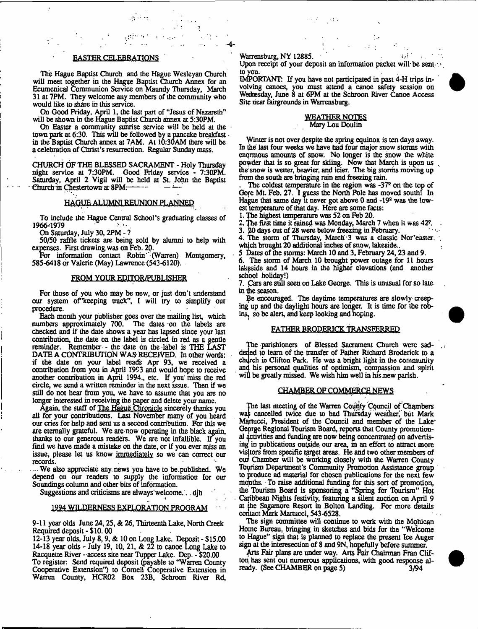The Hague Baptist Church and the Hague Wesleyan Church will meet together in the Hague Baptist Church Annex for an Ecumenical Communion Service on Maundy Thursday, March 31 at 7PM. They welcome any members of the community who would like to share in this service.

ومنتاوي

 $\sim$  15

On Good Friday, April 1, the last part of "Jesus of Nazareth" will be shown in the Hague Baptist Church annex at 5:30PM.

On Easter a community sunrise service will be held at the town park at 6:30. This will be followed by a pancake breakfast in the Baptist Church annex at 7AM. At 10:30AM there will be a celebration of Christ's resurrection. Regular Sunday mass.

CHURCH OF THE BLESSED SACRAMENT - Holy Thursday night service at 7:30PM. Good Friday service - 7:30PM. Saturday, April 2 Vigil will be held al St. John the Baptist Church in Chestertown at 8PM.

#### HAGUE ALUMNI REUNION PLANNED

To include the Hague Central School's graduating classes of 1966-1979

On Saturday, July 30,2PM - ?

50/50 raffle tickets are being sold by alumni to help with expenses. First drawing, was on Feb. 20.

For information contact Robin (Warren) Montgomery, 585-6418 or Valerie (May) Lawrence (543-6120).

#### FROM YOUR EDITOR/PUBLISHER

For those of you who may be new, or just don't understand our system of keeping track", I will try to simplify our procedure.

Each month your publisher goes over the mailing list, which numbers approximately 700. The dates on the labels are checked and if the date shows a year has lapsed since your last contribution, the date on the label is circled in red as a gentle reminder. Remember - the date on the label is THE LAST DATE A CONTRIBUTION WAS RECEIVED. In other Words: if the dale on your label reads Apr 93, we received a contribution from you in April 1993 and would hope to receive another contribution in April 1994., etc. If you' miss the red circle, we send a written reminder in the next issue. Then if we still do not hear from you, we have to assume that you are no longer interested in receiving the paper and delete your name.

Again, the staff of The Hague Chronicle sincerely thanks you all for your contributions. Last November many of you heard our cries for help and sent us a second contribution. For this we are eternally grateful. We are-now operating in the black again, thanks to our generous readers. We are not infallible. If you find we have made a mistake on the date, or if you ever miss an issue, please let us know immediately so we can correct our records.

We also appreciate any. news you have to be.published. We depend on our readers to supply the information for our Soundings column and other bits of information.

Suggestions and criticisms are always welcome.'.. djh

# 1994 WILDERNESS EXPLORATION PROGRAM

9-11 year olds June 24,25, & 26, Thirteenth Lake, North Creek Required deposit - \$ 10.00

12-13 year olds, July 8,9, & 10on Long Lake. Deposit- \$15.00 14-18 year olds - July 19, 10, 21, & 22 to canoe Long Lake to Racqueue River -access site near Tupper Lake. Dep. - \$20.00 To register: Send required deposit (payable to "Warren County Cooperative Extension") to Cornell Cooperative Extension in Warren County, HCR02 Box 23B, Schroon River Rd,

Warrensburg, NY 12885.  $\frac{1}{2}$  **w**  $\frac{1}{2}$  **w**  $\frac{1}{2}$  **w**  $\frac{1}{2}$  **w**  $\frac{1}{2}$  **w**  $\frac{1}{2}$  **w**  $\frac{1}{2}$  **w**  $\frac{1}{2}$  **w**  $\frac{1}{2}$  **w**  $\frac{1}{2}$  **w**  $\frac{1}{2}$  **w**  $\frac{1}{2}$  **w**  $\frac{1}{2}$  **w**  $\frac{1}{2}$  **w**  $\$ 

Upon receipt of your deposit an information packet will be sentered to you.

IMPORTANT: If you have not participated in past 4-H trips involving canoes, you must attend a canoe safety session on Wednesday, June 8 at 6PM at the Schroon River Canoe Access Site near fairgrounds in Warrensburg.

#### WEATHER NOTES Mary Lou Doulin

Winter is not over despite the spring equinox is ten days away. In the last four weeks we have had four major snow storms with enormous amounts of snow. No longer is the snow the white powder that is so great for skiing. Now that March is upon us the snow is wetter, heavier, and icier. The big storms moving up from the south are bringing rain and freezing rain.

The coldest temperature in the region was -37<sup>2</sup> on the top of Gore Mt. Feb. 27. I guess the North Pole has moved south! In Hague that same day it never got above 0 and -192 was the lowest temperature of that day. Here are some facts:

1. The highest temperature was 52 on Feb 20.

2. The first time it rained was Monday, March 7 when it was 42?.

3. 20 days out of 28 were below freezing in February.

4. The storm of Thursday, March 3 was a classic Nor'easter. which brought 20 additional inches of snow, lakeside..

5 Dates of the storms: March 10 and 3, February 24,23 and 9.

6. The storm of March 10 brought power outage for 11 hours lakeside and 14 hours in the higher elevations (and another school holiday!)

7. Cars are still seen on Lake George. This is unusual for so late in the season.

Be encouraged. The daytime temperatures are slowly creeping' up and the daylight hours are longer. It is time for the robins, so be alert, and keep looking and hoping.

#### FATHER BRODERICK TRANSFERRED

The parishioners of Blessed Sacrament Church were saddened to learn of the transfer of Father Richard Broderick to a church in Clifton Park. He was a bright light in the community an4 his personal qualities of optimism, compassion and spirit will be greatly missed. We wish him well in his new parish.

#### CHAMBER OF COMMERCE NEWS

The last meeting of the Warren County Council of'Chambers was cancelled twice due to bad Thursday weather, but Mark Martucci, President of the Council and member of the Laker George Regional Tourism Board, reports that County promotional activities and funding are now being concentrated on advertising in publications outside, our area, in an effort to attract more visitors from specific target areas. He and two other members of our Chamber will be working closely with the Warren County Tbyrism Department's Community Promotion Assistance group to produce ad material for chosen publications for the next few months. To raise additional funding for this sort of promotion, the Tourism Board is sponsoring a "Spring for Tburism" Hot Caribbean Nights festivity, featuring a silent auction on April 9 at the Sagamore Resort in Bolton Landing. For more details contact Mark Martucci, 543-6528.

The sign committee will continue to work with the Mohican Home Bureau, bringing in sketches and bids for the "Welcome to Hague" sign that is planned to replace the present Ice Auger sign at the interesection of 8 and 9N, hopefully before summer.

Arts Fair plans are under way. Arts Fair Chairman Fran Clifton has sent out numerous applications, with good response already. (See CHAMBER on page 5) 3/94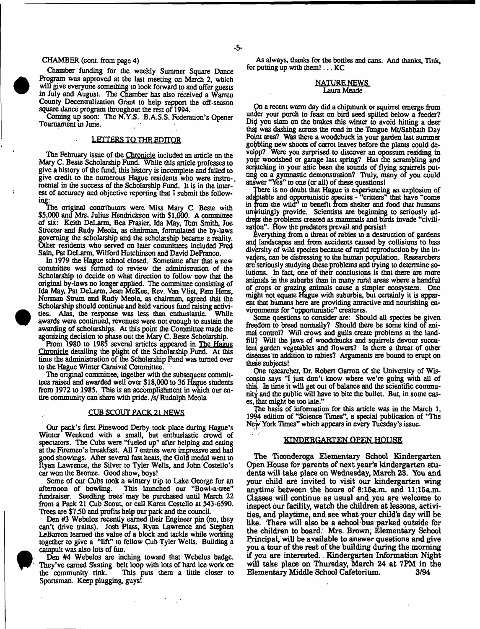### CHAMBER (com. from page 4)

Chamber funding for the weekly Summer Square Dance Program was approved at the last meeting on March 2, which will give everyone something to look forward to and offer guests in July and August. The Chamber has also received a Warren County Decentralization Grant to help support the off-season square dance program throughout the rest of 1994.

Coming up soon: The N.Y.S. B.A.S.S. Federation's Opener Tournament in June.

# LETTERS TO THE EDITOR

The February issue of the Chronicle included an article on the Mary C. Beste Scholarship Fund. While this article professes to give a history of the fund, this history is incomplete and failed to give credit to the numerous Hague residents who were instru-. mental in the success of the Scholarship Fund. It is in the interest of accuracy and objective reporting that 1 submit the following:

The original contributors were Miss Mary C. Beste with \$5,000 and Mrs. Julius Hendrickson with \$1,000. A committee of six: Keith DeLarm, Bea Frasier, Ida May, Tbm Smith, Joe Streeter and Rudy Meola, as chairman, formulated the by-laws governing the scholarship and the scholarship became a reality. Other residents who served on later committees included Fred Sain, Pat DeLarm, Wilford Hutchinson and David DeFranco.

In 1979 the Hague school closed. Sometime after that a new committee was formed to review the administration of the Scholarship to decide on what direction to follow now that the original by-laws no longer applied. The committee consisting of Ida May, Pat DeLarm, Jean McKee, Rev. Van Vliet, Pam Hens, Norman Strum and Rudy Meola, as chairman, agreed that the Scholarship should continue and held various fund raising activities. Alas, the response was less than enthusiastic. While awards were continued, revenues were not enough to sustain the awarding of scholarships. At this point the Committee made the agonizing decision to phase out the Mary C. Beste Scholarship.

From 1980 to 1985 several articles appeared in The Hague Chronicle detailing the plight of the Scholarship Fund. At this time the administration of the Scholarship Fund was turned over to the Hague Winter Carnival Committee.

The original committee, together with the subsequent committees raised and awarded well over \$18,000 to 36 Hague students from 1972 to 1985. This is an accomplishment in which our entire community canshare with pride, *fsl* Rudolph Meola

### CUB SCOUT PACK 21 NEWS

Our pack's first Pinewood Derby took place during Hague's Winter Weekend with a small, but enthusiastic crowd of spectators. The Cubs were "fueled up" after helping and eating at the Firemen's breakfast. All 7 entries were impressve and had good showings. After several fast heals, the Gold medal went to Ryan Lawrence, the Silver to Tyler Wells, and John Costello's car won the Bronze. Good show, boys!

Some of our Cubs took a wintery trip to Lake George for an afternoon of bowling. This launched our "Bowl-a-tree" This launched our "Bowl-a-tree" fundraiser. Seedling trees' may be purchased until March 22 from a Pack 21 Cub Scout, or call Karen Costello at 543-6590. Trees are \$7.50 and profits help our pack and the council.

Den #3 Webelos recently earned their Engineer pin (no, they can't drive trains). Josh Plass, Ryan Lawrence and Stephen LeBarron learned the value of a block and tackle while working together to give a "lift" to fellow Cub Tyler Wells. Building a catapult was also lots of fun.

Den #4 Webelos are inching toward that Webelos badge. They've earned Skating belt loop with lots of hard ice work on the community rink. This puts them a tittle closer to Sportsman. Keep plugging, guys!

As always, thanks for the bottles and cans. And thanks, Tink, for putting up with them!, . . KC

### NATURE NEWS Laura Meade

*Qa* a recent warm day did a chipmunk or squirrel emerge from under your porch to feast on bird seed spilled below a feeder? Did you slam on the brakes this winter to avoid hitting a deer that was dashing across the road in the Ibngue Mt/Sabbaih Day Point area? Was there a woodchuck in your garden last summer gobbling new shoots of carrot leaves before the plants could develpp? Were you surprised to discover an opossum residing in yoijr woodshed or garage last spring? Has die scrambling and scratching in your attic been the sounds of flying squirrels putting on a gymnastic demonstration? Truly, many of you could answer "Yes" to one (or all) of these questions!

There is no doubt that Hague is experiencing an explosion of adaptable and opportunistic species - "critters" that have "come in from the wild" to benefit from shelter and food that humans unwittingly provide. Scientists are beginning to seriously addreps the problems created as mammals and birds invade "civilization". How the predators prevail and persist!

Everything from a threat of rabies to a destruction of gardens and landscapes and from accidents caused by collisions to less diversity of wild species because of rapid reproduction by the invaders, can be distressing to the human population. Researchers are seriously studying these problems and trying to determine solutions. hi fact, one of their conclusions is that there are mare anipials in the suburbs than in many rural areas where a handful of pops or grazing animals cause a simpler ecosystem. One might not equate Hague with suburbia, but certainly it is apparent that humans here are providing attractive and nourishing environments for "opportunistic" creatures.

Some questions to consider are: Should all species be given freedom to breed normally? Should there be some kind of animal control? Will crows and gulls create problems at the landfill? Will the jaws of woodchucks and squirrels devour succulent garden vegetables and flowers? Is there a threat of other diseases in addition to rabies? Arguments are bound to erupt on these subjects!

One researcher, Dr. Robert Garrott of the University of Wisconsin says "I just don't know where we're going with all of this. In time it will get out of balance and the scientific community and the public will have to bite the bullet. But, in some cases, that might be too late."

The basis of information for this article was in the March 1, 1994 edition of "Science Times", a special publication of "The New York Tunes" which appears in every Tuesday's issue.

# **KINDERGARTEN OPEN HOUSE**

**The Ticonderoga Elementary School Kindergarten Open House for parents of next year's kindergarten students will take place on Wednesday, March 23. You and your child are invited to visit our kindergarten wing anytime between the hours of 8:15a.m. and 11:15a.m. Classes will continue as usual and you are welcome to inspect our facility, watch the children at lessons, activities, and playtime, and see what your child's day will be like. There will also be a school bus parked outside for the children to board. Mrs. Brown; Elementary School Principal, will be available to answer questions and give you a tour of the rest of the building during the morning if you are interested.. Kindergarten Information Night will take place on Thursday, March 24 at 7PM in the Elementary Middle School Cafetorium. 3/94**

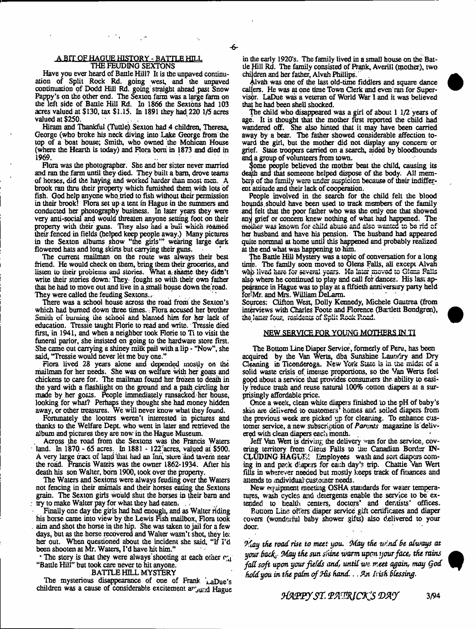#### A BIT OF HAGUE HISTORY - BATTLE HILL THE FEUDING SEXTONS

Have you ever heard of Baule Hill? It is the unpaved continuation of Split Rock Rd. going west, and the unpaved continuation of Dodd Hill Rd. going straight ahead past Snow Fappy's on the other end. The Sexton farm was a large farm on the left side of Battle Hill Rd. In 1866 the Sextons had 103 acres valued at \$130, tax \$1,15. In 1891 they had 220 1/5 acres valued at \$250.

Hiram and Thankful (Tuttle). Sexton had 4 children, Theresa, George (who broke his neck diving into Lake George from the top of a boat house; Smith, who owned the Mohican House (where the Hearth is today) and Flora bom in 1873 and died in 1969.

Flora was the photographer. She and her sister never married and ran the farm until they died. They built a bam, drove teams of horses, did the haying and worked harder than most men. A brook ran thru their property which furnished them with lots of fish. God help anyone who.tried to fish without their permission in their brook! Flora set up a tent in Hague in the summers and conducted her photography business. In later years they were very anti-social and would threaten anyone setting foot on their property with their guns. They also had a bull which roamed their fenced in fields (helped keep people away.) Many pictures in the Sexton albums show "the girls'" wearing large dark flowered hats and long skirts but carrying their guns.

The current mailman on the route was always their best friend. He would check on them, bring them their groceries, and listen to their problems and stories. What a shame they didn't write their stories down. They fought so with their own father that he bad to move out and live in a,small house down the'road. They were called the feuding Sextons.,

There was a school house across the road from the Sexton's which had burned down three times. Flora accused her brother Smith of burning the school and blamed him for her lack of education. Tressie taught Florie to read and write. Tressie died first, in 1941, and when a neighbor took Florie to Ti to visit the funeral parlor, she insisted on going to the hardware store first. She came out carrying a shiney milk pail with a lip - "Now", she said, "Tressie would never let me buy one."

Flora lived 28 years alone and depended mostly on the mailman for her needs. She was on welfare with her goats and chickens to care for. The mailman found her frozen to death in the yard with a flashlight on the ground and a path .circling her made by her goals. People immediately ransacked her house, looking for what? Perhaps they thought she had money hidden away, or other treasures. We will never know what they found.

Fortunately the looters weren't interested in pictures and thanks to the Welfare Dept, who went in later and retrieved the album and pictures they are now in the Hague Museum.

Across the road from the Sextons was the Francis Waters land. In 1870 - 65 acres. In 1881 - 122 acres, valued at \$500. A very large tract of land that had an Inn, store and tavern near the road. Francis Waters was the owner 1862-1934. After his death his son Walter, bom 1900, took over the property.

The Waters and Sextons were always feuding over the Waters not fencing in their animals and their horses eating the Sextons grain. The Sexton girts would shut the horses in their bam and try to make Walter pay for what they had eaten.

Finally one day the girls had had enough, and as Walter riding his horse came into view by the Lewis Fish mailbox, Flora took aim and shot the horse in the hip. She was taken to jail for a few days, but as the horse recovered and Walter wasn't shot, they let her out. When questioned about the incident she said, "If I'd been shooten at Mr. Waters, I'd have hit him."

The story is that they were always' shooting at each other  $r_{\rm d}$ "Battle Hill" but took care never to hit anyone.

BATTLE HILL MYSTERY

The mysterious disappearance of one of Frank LaDue's children was a cause of considerable excitement a  $r_{\text{full}}$  Hague

in the early 1920's. The family lived in a small house on the Battle Hill Rd. The family consisted of Frank, Averill (mother), two children and her father, Alvah Phillips.'

Alvah was one of the last old-time fiddlers and square dance cal|ers. He was at one time Town Clerk and even ran for Supervisor. LaDue was a veteran of World War 1 and it was believed that he had been shell shocked.

The child who disappeared was a girl of about 1 1/2 years of age. It is thought that the mother first reported the child had wandered off. She also hinted that it may have been carried away by a bear. The father showed considerable affection toward the girl, but the mother did not display any concern or grief. State troopers carried on a search, aided by bloodhounds and a group of volunteers from town.

Some people believed the mother beat the child, causing its deqth and that someone helped dispose of the body. All membcrp of the family were under suspicion because of their indifferent attitude and their lack of cooperation.

People involved in the search for the child felt the blood hoqnds.should have been used to track members of the family and felt that the poor father who was the only one that showed any grief or concern knew nothing of what had happened. The main grite of concern since nothing or what new imposed. The her husband and have his pension. The husband had appeared quite normnal at home until this happened and probably realized at the end what was happening to him.

The Battle Hill Mystery was a topic of conversation for a long time. The family soon moved to Glens Falls, all except Alvah who lived here for several years. He later moved to Glens Falls also where he continued to play and call for dances. His last appearance in Hague was to play at a fiftieth anniversary party held for Mr. and Mrs. William DeLarm.

Sources: Clifton West, Dolly Kennedy, Michele Gautrea (from interviews with Charles Foote and Florence (Bartlett Bondgren), the latter four, residents of Split Rock Road.

#### NEW SERVICE FOR YOUNG MOTHERS IN TI

The Bottom Line Diaper Service, formerly of Peru., has been acquired by the Van Werts, dba Sunshine Laundry and Dry Cleaning in Tieeaderega. New York State is in (he midst of a solid waste crisis of imense proportions, so the Van Werts feel good about a service that provides consumers the ability to easily reduce trash and. reuse natural 100% cotton diapers at a surprisingly affordable pice.

Once a weelt, clean white diapers finished to the pH of baby's skin are delivered to customers' homes and soiled diapers from the previous week are picked up for clearing. To enhance customer service, a new subscription of *Parents* magazine is delivered with clean diapers each month.

Jeff Van Wert is driving the delivery "an for the service, covering territory from Gieus Falls to the Canadian Border IN-CLUDING HAGUE! Employees wash and sort diapers coming in and pack diapers for each day's trip. Chattie Yan Wert fills in wherever needed but mostly keeps track of finances and attends to .mdividual customer needs.

New equipment meeting OSHA standards for water temperatures, wash cycles and detergents enable the service to be' extended to health centers, doctors' and dentists' offices.

Bonom Line offers diaper service gift certificates and diaper covers (wondeiful baby shower gifts) also delivered to your door,

*ffiay the road rise to meet you, Oday the wind Be always at your Back- May the sun shine warm upon your face, the rains fad soft upon your fields and, until wn, meet again, may Qod hold you in the palm o f Hhs Band* **..** *?ji Pish Blessing.*

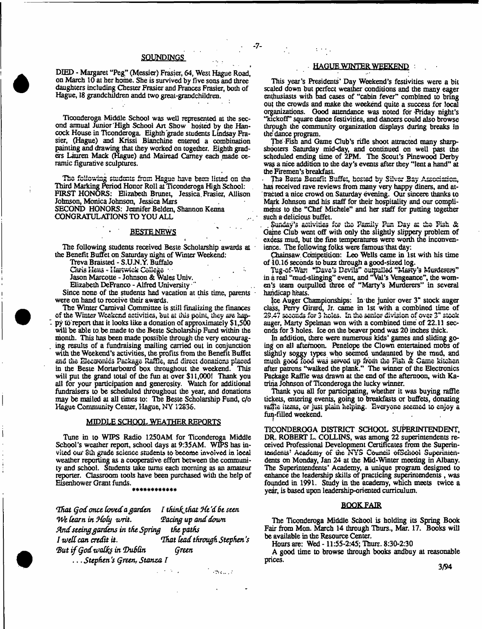# SQUNDINGS

- 7-

DIED - Margaret "Peg" (Messier) Frasier, 64, West Hague Road, on March 10 at her home. She is survived by five sons and three daughters including Chester Frasier and Frances Frasier, both of Hague, 18 grandchildren andd two great-grandchildren.

Ticonderoga Middle School was well represented at the second annual Junior'High School Art Show hosted by the Hancock House in Ticonderoga. Eighth grade students Lindsay Frasier, (Hague) and Krissi Bianchine entered a combination painting and drawing that they worked on together. Eighth graders Lauren Mack (Hague) and Mairead Carney each made ceramic figurative sculptures.

The following students from Hague have been listed on the Third Marking Period Honor Roll at Ticonderoga High School: FIRST HONORS; Elizabeth Brunet, Jessica. Frasier, Allison Johnson, Monica Johnson, Jessica Mars SECOND HONORS: Jennifer Belden, Shannon Kenna CONGRATULATIONS TO YOU ALL

### **BESTE NEWS**

The following students received Beste Scholarship awards at the Benefit Buffet on Saturday night of Winter Weekend:

t

Treva Braisted - S.U.N.Y. Buffalo

Jason Marcoue - Johnson & Wales Univ.

Elizabeth DeFranco - Alfred University •"

Since none of the students had vacation at this time, parents were on hand to receive their awards.

The Winter Carnival Committee is still finalizing the finances of the Winter Weekend activities, but at this point, they are happy to report that it looks like a donation of approximately \$1,500 will be able to. be made to the Beste Scholarship Fund within the month. This has been made possible through the very encouraging results of a fundraising mailing carried out in conjunction with the Weekend's activities, the profits from the Benefit Buffet with the Weekend's activities, the profits from the Benefit Buffet<br>and the Electronics Package Raffle, and direct donations placed in the Beste Mortarboard box throughout the weekend. This will put the grand total of the fun at over \$11,000! Thank you all for your participation and generosity. Watch for additional fundraisers to be scheduled throughout the year, and donations may be mailed at all times to: The Beste Scholarship Fund, c/o Hague Community Center, Hague, NY 12836.

#### MIDDLE SCHOOL WEATHER REPORTS

Tune in to WIPS Radio 1250AM for Ticonderoga Middle School's weather report, school days at 9:35AM. WIPS has invited our 8th grade science students to become involved in local weather reporting as a cooperative effort between the community and school. Students take turns each morning as an amateur reporter. Classroom tools have been purchased with the help of Eisenhower Grant funds. \*\*\*\*\*\*\*\*\*\*\*\*

*That Qod once Coved a garden I thinhjhat He'd 6c seen We Cearn in 9&Cy writ. Toting up and down And seeing gardens in the Spring the paths I* well can credit it. That lead through Stephen's *Tut if Qodwalfe in Thi6Gn Qreen* **.,.** *Stephen's Qreen, Stanza T*

 $\sim 2.4$  and  $\sim 10$ 

#### HAGUE WINTER WEEKEND

This year's Presidents' Day Weekend's festivities were a bit scaled down but perfect weather conditions and the many eager enthusiasts with bad cases of "cabin fever" combined to bring out the crowds and make the weekend quite a success for local organizations. Good attendance was noted for 'Friday night's "Rickoff" square dance festivities, and dancers could also browse through the community organization displays during breaks in the dance program.

The-Fish and Game Club's rifle shoot attracted many sharpshooters Saturday mid-day, and continued on well past the scheduled ending time of 2PM. The Scout's Pinewood Derby was a nice addition to the day's events after they "lent a hand" at the Firemen's breakfast.

The Beste Benefit Buffet, hosted by Silver Bay Association, has received rave reviews from many very happy diners, and attracted a nice crowd on Saturday evening. Our sincere thanks to Mark Johnson and his staff for their hospitality and our compliments to the "Chef Michele" and her staff for putting together such a delicious buffet.

Sunday's activities for the Pamily Pun Day at the Pish & Game Club went off with only the slightly slippery problem of excess mud, but the fine temperatures were worth the inconvenience. The following folks were famous that day:

Cbainsaw. Competition: Leo Wells came in 1st with his time of 10.16 seconds to buzz through a good-sized log.

Iwj-Gf-WSfi "Dave's Devils'' Guipulleo wisfty's Murderers" in a real "mud-slinging" event, and "Val's Vengeance", the women's team outpulled three of "Marty's Murderers'' in several handicap heats.

Ice Auger Championships; In the junior over 3" stock auger class, Perry Girard, Jr. came in 1st with a combined lime of 29.47 seconds for 3 holes. In the senior division of over 3" stock auger, Marty Spelman won with a combined time of 22.11 seconds for 3 holes. Ice on the beaver pond was 20 inches thick.

In addition, there were numerous kids' games and sliding going on all afternoon. Penelope the Clown entertained mobs of slightly soggy types who seemed undaunted by the mud, and much good food was served up from the Fish & Game kitchen after patrons "walked the plank." The winner of the Electronics Package Raffle was drawn at the end of the afternoon, with Katrina Johnson of Ticonderoga the lucky winner.

Thank you all for participating, whether it was buying raffle tickets, entering events, going to breakfasts or buffets, donating raffle items, or just plain helping. Everyone seemed to enjoy a finj-filled weekend.

TICONDEROGA DISTRICT SCHOOL SUPERINTENDENT, DR. ROBERT L. COLLINS, was among 22 superintendents received Professional Development Certificates from the Superinittidcncs\* Academy of die NYS Council ofScliOOi Superintendents on Monday, Jan 24 at the Mid-Winter meeting in Albany. The Superintendents' Academy, a unique program designed to enhance the leadership skills of practicing superintendents , was founded in 1991. Study in the academy, which meets twice a year, is based upon leadership-oriented curriculum.

#### BOOK FAIR

The Ticonderoga Middle School is holding its Spring Book Fair from Mon. March 14 through Tburs., Mar. 17. Books will be available in the Resource Center.

(fours are: Wed -11:55-2:45; Tburs. 8:30-2:30

A good time to browse through books andbuy at reasonable prices.

3/94